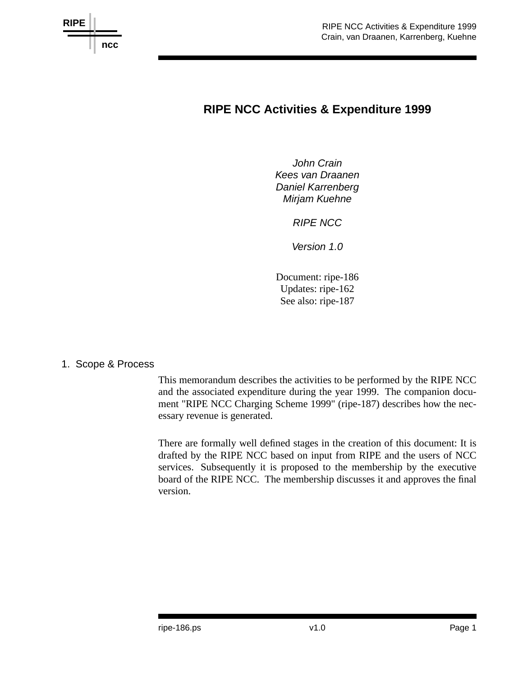

# **RIPE NCC Activities & Expenditure 1999**

*John Crain Kees van Draanen Daniel Karrenberg Mirjam Kuehne*

*RIPE NCC*

*Version 1.0*

Document: ripe-186 Updates: ripe-162 See also: ripe-187

1. Scope & Process

This memorandum describes the activities to be performed by the RIPE NCC and the associated expenditure during the year 1999. The companion document "RIPE NCC Charging Scheme 1999" (ripe-187) describes how the necessary revenue is generated.

There are formally well defined stages in the creation of this document: It is drafted by the RIPE NCC based on input from RIPE and the users of NCC services. Subsequently it is proposed to the membership by the executive board of the RIPE NCC. The membership discusses it and approves the final version.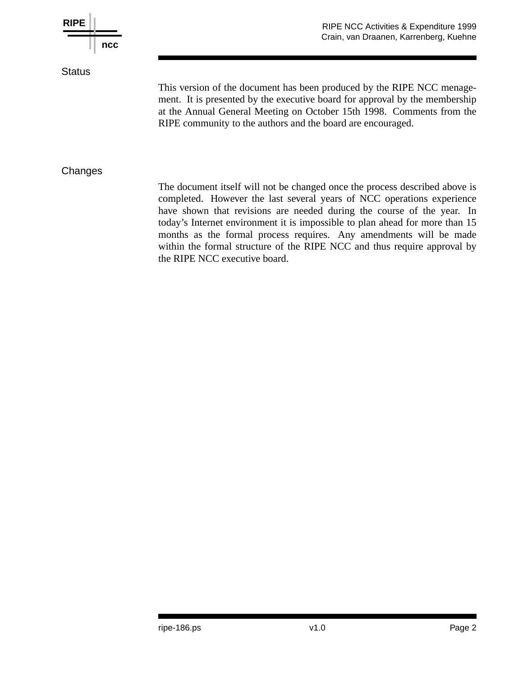

the RIPE NCC executive board.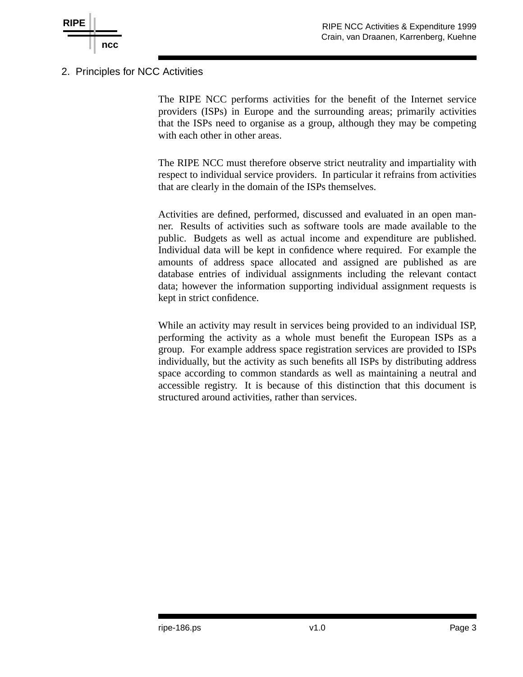

2. Principles for NCC Activities

The RIPE NCC performs activities for the benefit of the Internet service providers (ISPs) in Europe and the surrounding areas; primarily activities that the ISPs need to organise as a group, although they may be competing with each other in other areas.

The RIPE NCC must therefore observe strict neutrality and impartiality with respect to individual service providers. In particular it refrains from activities that are clearly in the domain of the ISPs themselves.

Activities are defined, performed, discussed and evaluated in an open manner. Results of activities such as software tools are made available to the public. Budgets as well as actual income and expenditure are published. Individual data will be kept in confidence where required. For example the amounts of address space allocated and assigned are published as are database entries of individual assignments including the relevant contact data; however the information supporting individual assignment requests is kept in strict confidence.

While an activity may result in services being provided to an individual ISP, performing the activity as a whole must benefit the European ISPs as a group. For example address space registration services are provided to ISPs individually, but the activity as such benefits all ISPs by distributing address space according to common standards as well as maintaining a neutral and accessible registry. It is because of this distinction that this document is structured around activities, rather than services.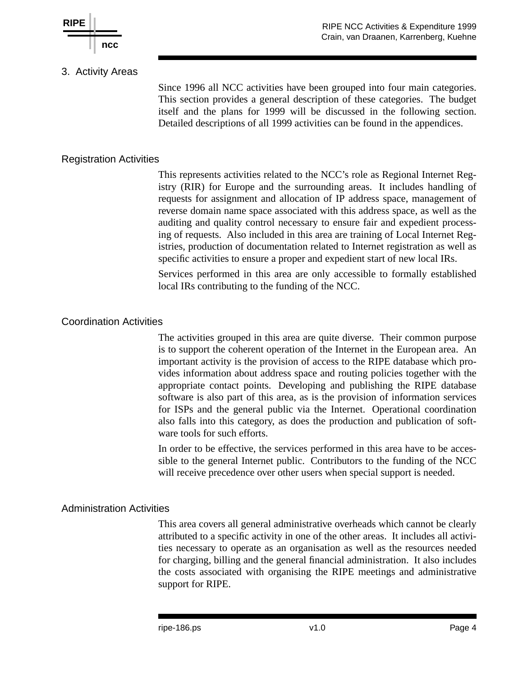

### 3. Activity Areas

Since 1996 all NCC activities have been grouped into four main categories. This section provides a general description of these categories. The budget itself and the plans for 1999 will be discussed in the following section. Detailed descriptions of all 1999 activities can be found in the appendices.

### Registration Activities

This represents activities related to the NCC's role as Regional Internet Registry (RIR) for Europe and the surrounding areas. It includes handling of requests for assignment and allocation of IP address space, management of reverse domain name space associated with this address space, as well as the auditing and quality control necessary to ensure fair and expedient processing of requests. Also included in this area are training of Local Internet Registries, production of documentation related to Internet registration as well as specific activities to ensure a proper and expedient start of new local IRs.

Services performed in this area are only accessible to formally established local IRs contributing to the funding of the NCC.

#### Coordination Activities

The activities grouped in this area are quite diverse. Their common purpose is to support the coherent operation of the Internet in the European area. An important activity is the provision of access to the RIPE database which provides information about address space and routing policies together with the appropriate contact points. Developing and publishing the RIPE database software is also part of this area, as is the provision of information services for ISPs and the general public via the Internet. Operational coordination also falls into this category, as does the production and publication of software tools for such efforts.

In order to be effective, the services performed in this area have to be accessible to the general Internet public. Contributors to the funding of the NCC will receive precedence over other users when special support is needed.

#### Administration Activities

This area covers all general administrative overheads which cannot be clearly attributed to a specific activity in one of the other areas. It includes all activities necessary to operate as an organisation as well as the resources needed for charging, billing and the general financial administration. It also includes the costs associated with organising the RIPE meetings and administrative support for RIPE.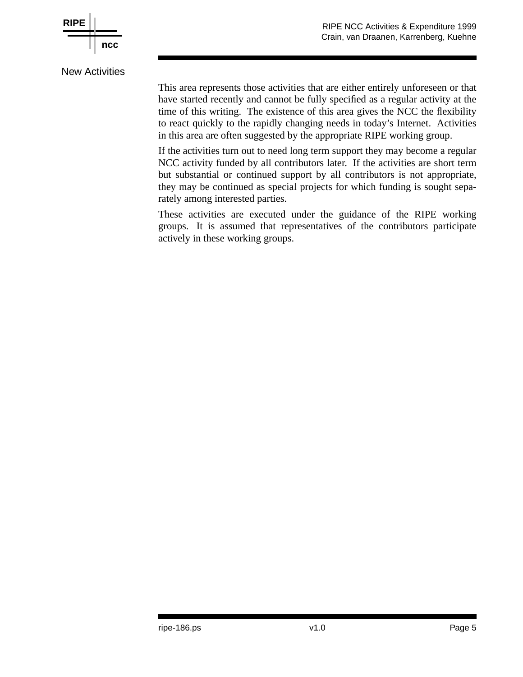

New Activities

This area represents those activities that are either entirely unforeseen or that have started recently and cannot be fully specified as a regular activity at the time of this writing. The existence of this area gives the NCC the flexibility to react quickly to the rapidly changing needs in today's Internet. Activities in this area are often suggested by the appropriate RIPE working group.

If the activities turn out to need long term support they may become a regular NCC activity funded by all contributors later. If the activities are short term but substantial or continued support by all contributors is not appropriate, they may be continued as special projects for which funding is sought separately among interested parties.

These activities are executed under the guidance of the RIPE working groups. It is assumed that representatives of the contributors participate actively in these working groups.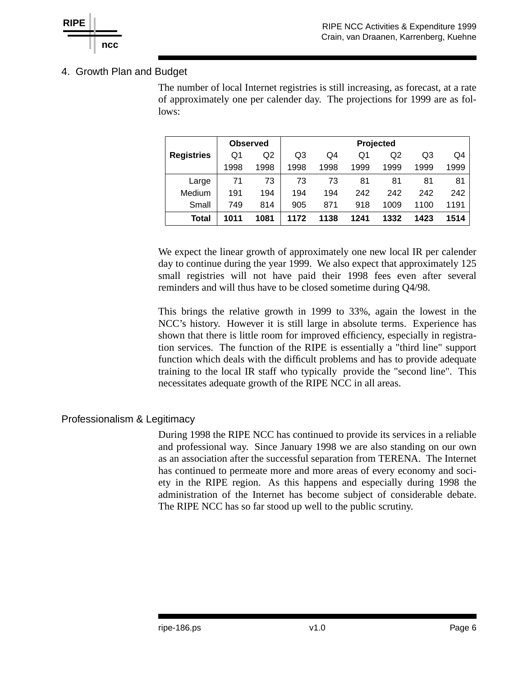

## 4. Growth Plan and Budget

The number of local Internet registries is still increasing, as forecast, at a rate of approximately one per calender day. The projections for 1999 are as follows:

|                   | <b>Observed</b> |      | Projected |      |      |      |      |      |  |
|-------------------|-----------------|------|-----------|------|------|------|------|------|--|
| <b>Registries</b> | Q1              | Q2   | Q3        | Q4   | Q1   | Q2   | Q3   | Q4   |  |
|                   | 1998            | 1998 | 1998      | 1998 | 1999 | 1999 | 1999 | 1999 |  |
| Large             | 71              | 73   | 73        | 73   | 81   | 81   | 81   | 81   |  |
| Medium            | 191             | 194  | 194       | 194  | 242  | 242  | 242  | 242  |  |
| Small             | 749             | 814  | 905       | 871  | 918  | 1009 | 1100 | 1191 |  |
| Total             | 1011            | 1081 | 1172      | 1138 | 1241 | 1332 | 1423 | 1514 |  |

We expect the linear growth of approximately one new local IR per calender day to continue during the year 1999. We also expect that approximately 125 small registries will not have paid their 1998 fees even after several reminders and will thus have to be closed sometime during Q4/98.

This brings the relative growth in 1999 to 33%, again the lowest in the NCC's history. However it is still large in absolute terms. Experience has shown that there is little room for improved efficiency, especially in registration services. The function of the RIPE is essentially a "third line" support function which deals with the difficult problems and has to provide adequate training to the local IR staff who typically provide the "second line". This necessitates adequate growth of the RIPE NCC in all areas.

### Professionalism & Legitimacy

During 1998 the RIPE NCC has continued to provide its services in a reliable and professional way. Since January 1998 we are also standing on our own as an association after the successful separation from TERENA. The Internet has continued to permeate more and more areas of every economy and society in the RIPE region. As this happens and especially during 1998 the administration of the Internet has become subject of considerable debate. The RIPE NCC has so far stood up well to the public scrutiny.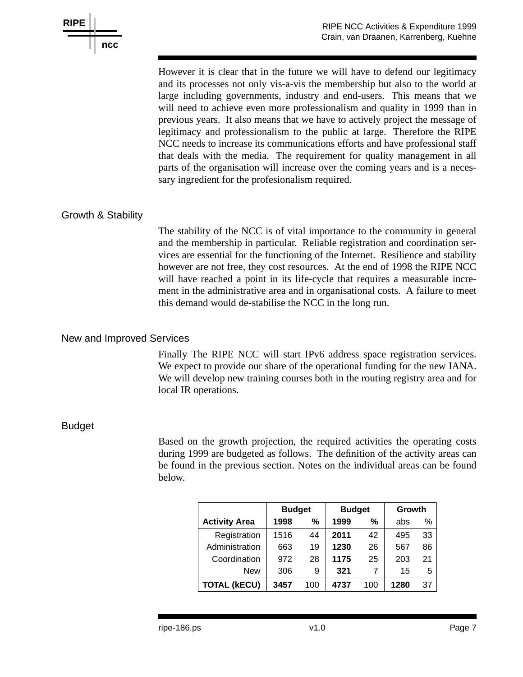

However it is clear that in the future we will have to defend our legitimacy and its processes not only vis-a-vis the membership but also to the world at large including governments, industry and end-users. This means that we will need to achieve even more professionalism and quality in 1999 than in previous years. It also means that we have to actively project the message of legitimacy and professionalism to the public at large. Therefore the RIPE NCC needs to increase its communications efforts and have professional staff that deals with the media. The requirement for quality management in all parts of the organisation will increase over the coming years and is a necessary ingredient for the profesionalism required.

## Growth & Stability

The stability of the NCC is of vital importance to the community in general and the membership in particular. Reliable registration and coordination services are essential for the functioning of the Internet. Resilience and stability however are not free, they cost resources. At the end of 1998 the RIPE NCC will have reached a point in its life-cycle that requires a measurable increment in the administrative area and in organisational costs. A failure to meet this demand would de-stabilise the NCC in the long run.

#### New and Improved Services

Finally The RIPE NCC will start IPv6 address space registration services. We expect to provide our share of the operational funding for the new IANA. We will develop new training courses both in the routing registry area and for local IR operations.

#### Budget

Based on the growth projection, the required activities the operating costs during 1999 are budgeted as follows. The definition of the activity areas can be found in the previous section. Notes on the individual areas can be found below.

|                      | <b>Budget</b> |     | <b>Budget</b> |               | Growth |    |
|----------------------|---------------|-----|---------------|---------------|--------|----|
| <b>Activity Area</b> | 1998          | %   | 1999          | $\frac{0}{0}$ | abs    | %  |
| Registration         | 1516          | 44  | 2011          | 42            | 495    | 33 |
| Administration       | 663           | 19  | 1230          | 26            | 567    | 86 |
| Coordination         | 972           | 28  | 1175          | 25            | 203    | 21 |
| New                  | 306           | 9   | 321           | 7             | 15     | 5  |
| <b>TOTAL (kECU)</b>  | 3457          | 100 | 4737          | 100           | 1280   | 37 |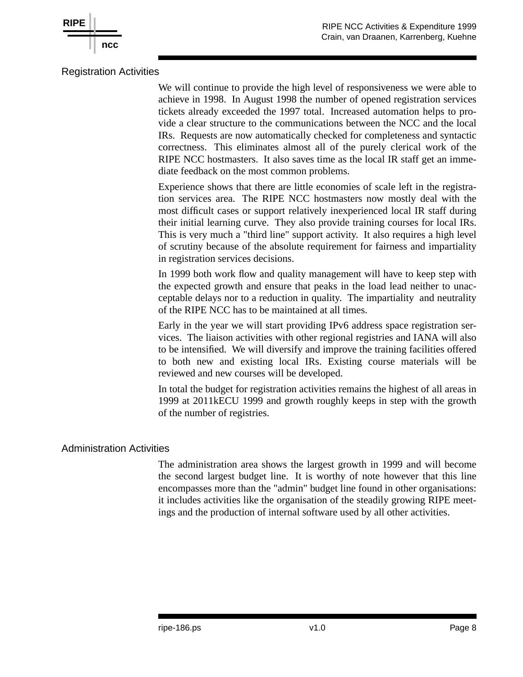

#### Registration Activities

**ncc**

**RIPE**

We will continue to provide the high level of responsiveness we were able to achieve in 1998. In August 1998 the number of opened registration services tickets already exceeded the 1997 total. Increased automation helps to provide a clear structure to the communications between the NCC and the local IRs. Requests are now automatically checked for completeness and syntactic correctness. This eliminates almost all of the purely clerical work of the RIPE NCC hostmasters. It also saves time as the local IR staff get an immediate feedback on the most common problems.

Experience shows that there are little economies of scale left in the registration services area. The RIPE NCC hostmasters now mostly deal with the most difficult cases or support relatively inexperienced local IR staff during their initial learning curve. They also provide training courses for local IRs. This is very much a "third line" support activity. It also requires a high level of scrutiny because of the absolute requirement for fairness and impartiality in registration services decisions.

In 1999 both work flow and quality management will have to keep step with the expected growth and ensure that peaks in the load lead neither to unacceptable delays nor to a reduction in quality. The impartiality and neutrality of the RIPE NCC has to be maintained at all times.

Early in the year we will start providing IPv6 address space registration services. The liaison activities with other regional registries and IANA will also to be intensified. We will diversify and improve the training facilities offered to both new and existing local IRs. Existing course materials will be reviewed and new courses will be developed.

In total the budget for registration activities remains the highest of all areas in 1999 at 2011kECU 1999 and growth roughly keeps in step with the growth of the number of registries.

#### Administration Activities

The administration area shows the largest growth in 1999 and will become the second largest budget line. It is worthy of note however that this line encompasses more than the "admin" budget line found in other organisations: it includes activities like the organisation of the steadily growing RIPE meetings and the production of internal software used by all other activities.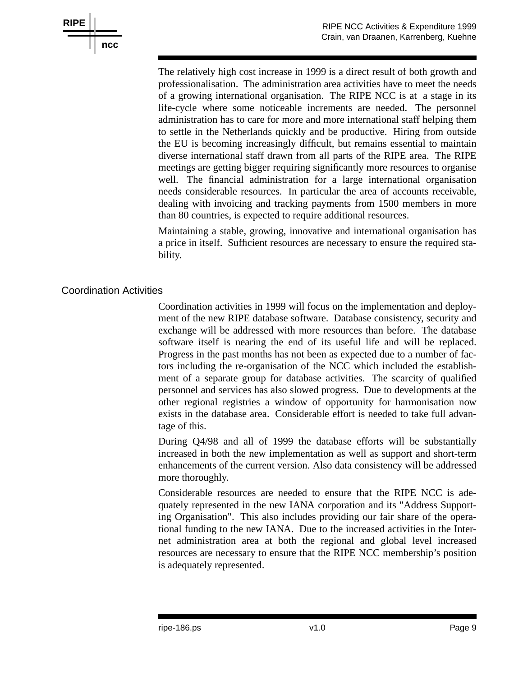

The relatively high cost increase in 1999 is a direct result of both growth and professionalisation. The administration area activities have to meet the needs of a growing international organisation. The RIPE NCC is at a stage in its life-cycle where some noticeable increments are needed. The personnel administration has to care for more and more international staff helping them to settle in the Netherlands quickly and be productive. Hiring from outside the EU is becoming increasingly difficult, but remains essential to maintain diverse international staff drawn from all parts of the RIPE area. The RIPE meetings are getting bigger requiring significantly more resources to organise well. The financial administration for a large international organisation needs considerable resources. In particular the area of accounts receivable, dealing with invoicing and tracking payments from 1500 members in more than 80 countries, is expected to require additional resources.

Maintaining a stable, growing, innovative and international organisation has a price in itself. Sufficient resources are necessary to ensure the required stability.

### Coordination Activities

Coordination activities in 1999 will focus on the implementation and deployment of the new RIPE database software. Database consistency, security and exchange will be addressed with more resources than before. The database software itself is nearing the end of its useful life and will be replaced. Progress in the past months has not been as expected due to a number of factors including the re-organisation of the NCC which included the establishment of a separate group for database activities. The scarcity of qualified personnel and services has also slowed progress. Due to developments at the other regional registries a window of opportunity for harmonisation now exists in the database area. Considerable effort is needed to take full advantage of this.

During Q4/98 and all of 1999 the database efforts will be substantially increased in both the new implementation as well as support and short-term enhancements of the current version. Also data consistency will be addressed more thoroughly.

Considerable resources are needed to ensure that the RIPE NCC is adequately represented in the new IANA corporation and its "Address Supporting Organisation". This also includes providing our fair share of the operational funding to the new IANA. Due to the increased activities in the Internet administration area at both the regional and global level increased resources are necessary to ensure that the RIPE NCC membership's position is adequately represented.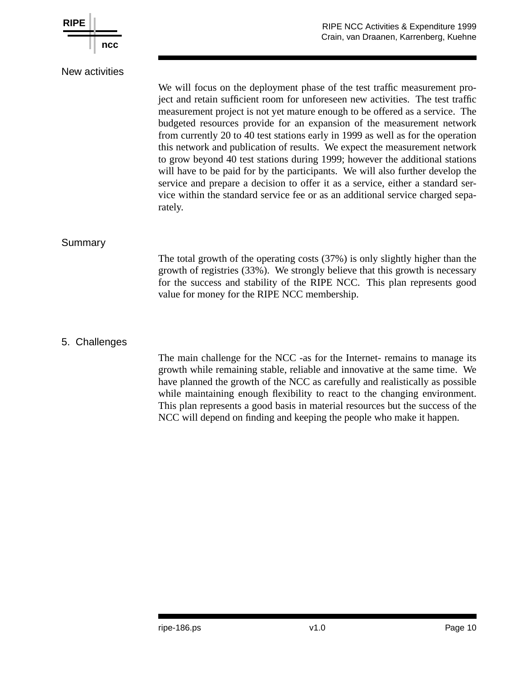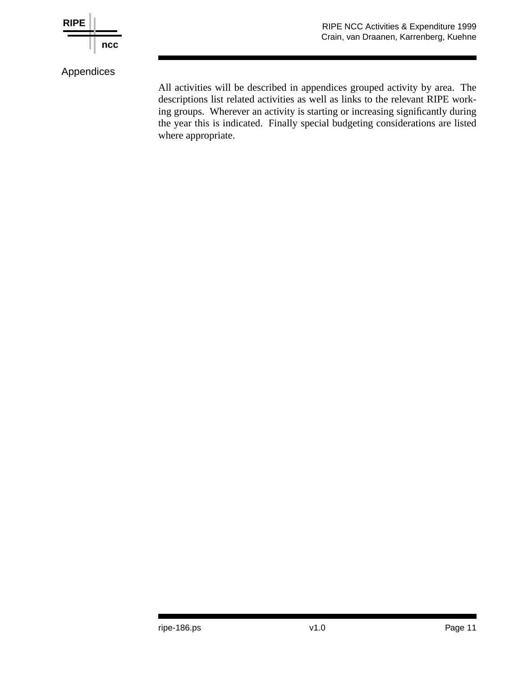

Appendices

All activities will be described in appendices grouped activity by area. The descriptions list related activities as well as links to the relevant RIPE working groups. Wherever an activity is starting or increasing significantly during the year this is indicated. Finally special budgeting considerations are listed where appropriate.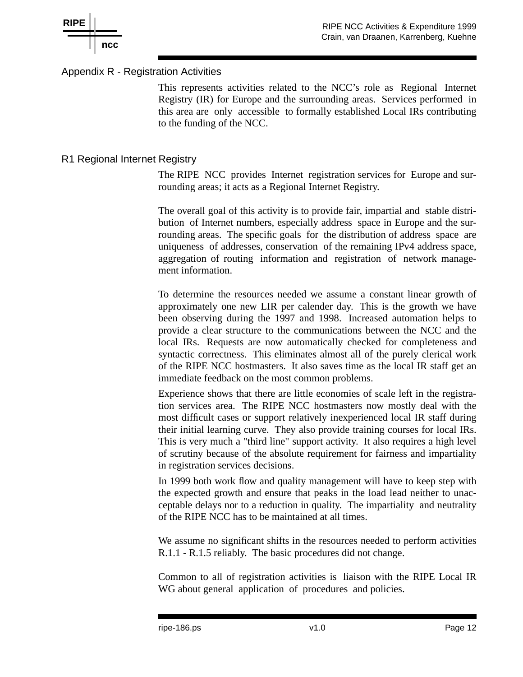

### Appendix R - Registration Activities

This represents activities related to the NCC's role as Regional Internet Registry (IR) for Europe and the surrounding areas. Services performed in this area are only accessible to formally established Local IRs contributing to the funding of the NCC.

### R1 Regional Internet Registry

The RIPE NCC provides Internet registration services for Europe and surrounding areas; it acts as a Regional Internet Registry.

The overall goal of this activity is to provide fair, impartial and stable distribution of Internet numbers, especially address space in Europe and the surrounding areas. The specific goals for the distribution of address space are uniqueness of addresses, conservation of the remaining IPv4 address space, aggregation of routing information and registration of network management information.

To determine the resources needed we assume a constant linear growth of approximately one new LIR per calender day. This is the growth we have been observing during the 1997 and 1998. Increased automation helps to provide a clear structure to the communications between the NCC and the local IRs. Requests are now automatically checked for completeness and syntactic correctness. This eliminates almost all of the purely clerical work of the RIPE NCC hostmasters. It also saves time as the local IR staff get an immediate feedback on the most common problems.

Experience shows that there are little economies of scale left in the registration services area. The RIPE NCC hostmasters now mostly deal with the most difficult cases or support relatively inexperienced local IR staff during their initial learning curve. They also provide training courses for local IRs. This is very much a "third line" support activity. It also requires a high level of scrutiny because of the absolute requirement for fairness and impartiality in registration services decisions.

In 1999 both work flow and quality management will have to keep step with the expected growth and ensure that peaks in the load lead neither to unacceptable delays nor to a reduction in quality. The impartiality and neutrality of the RIPE NCC has to be maintained at all times.

We assume no significant shifts in the resources needed to perform activities R.1.1 - R.1.5 reliably. The basic procedures did not change.

Common to all of registration activities is liaison with the RIPE Local IR WG about general application of procedures and policies.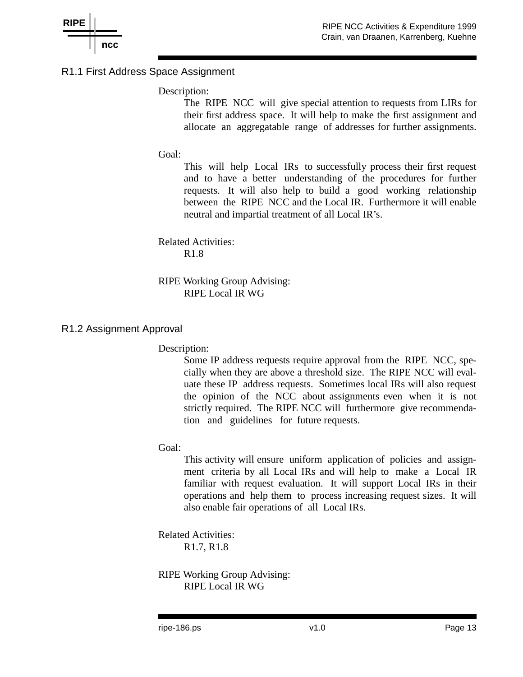

### R1.1 First Address Space Assignment

#### Description:

The RIPE NCC will give special attention to requests from LIRs for their first address space. It will help to make the first assignment and allocate an aggregatable range of addresses for further assignments.

#### Goal:

This will help Local IRs to successfully process their first request and to have a better understanding of the procedures for further requests. It will also help to build a good working relationship between the RIPE NCC and the Local IR. Furthermore it will enable neutral and impartial treatment of all Local IR's.

Related Activities: R1.8

RIPE Working Group Advising: RIPE Local IR WG

#### R1.2 Assignment Approval

Description:

Some IP address requests require approval from the RIPE NCC, specially when they are above a threshold size. The RIPE NCC will evaluate these IP address requests. Sometimes local IRs will also request the opinion of the NCC about assignments even when it is not strictly required. The RIPE NCC will furthermore give recommendation and guidelines for future requests.

#### Goal:

This activity will ensure uniform application of policies and assignment criteria by all Local IRs and will help to make a Local IR familiar with request evaluation. It will support Local IRs in their operations and help them to process increasing request sizes. It will also enable fair operations of all Local IRs.

Related Activities: R1.7, R1.8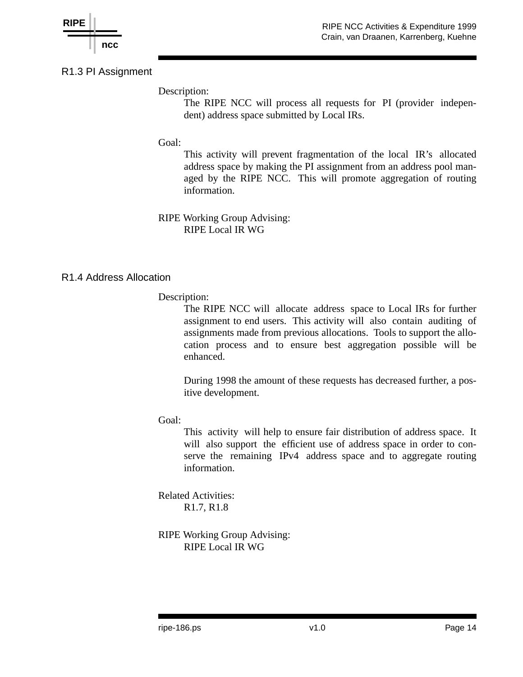

R1.3 PI Assignment

Description:

The RIPE NCC will process all requests for PI (provider independent) address space submitted by Local IRs.

### Goal:

This activity will prevent fragmentation of the local IR's allocated address space by making the PI assignment from an address pool managed by the RIPE NCC. This will promote aggregation of routing information.

RIPE Working Group Advising: RIPE Local IR WG

### R1.4 Address Allocation

#### Description:

The RIPE NCC will allocate address space to Local IRs for further assignment to end users. This activity will also contain auditing of assignments made from previous allocations. Tools to support the allocation process and to ensure best aggregation possible will be enhanced.

During 1998 the amount of these requests has decreased further, a positive development.

### Goal:

This activity will help to ensure fair distribution of address space. It will also support the efficient use of address space in order to conserve the remaining IPv4 address space and to aggregate routing information.

Related Activities: R1.7, R1.8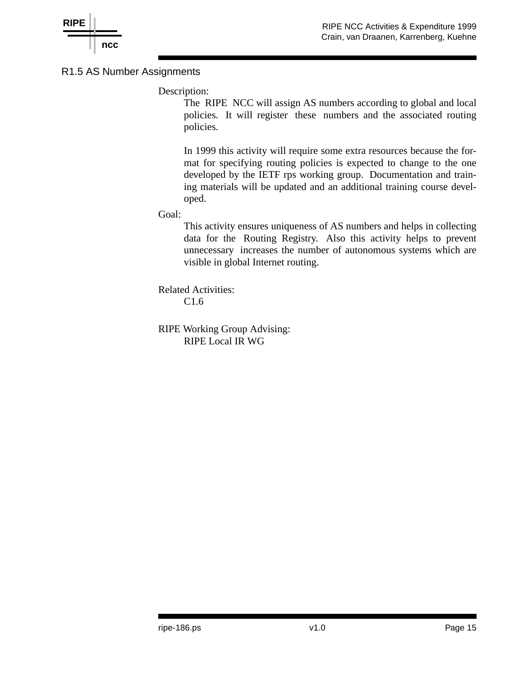

### R1.5 AS Number Assignments

### Description:

The RIPE NCC will assign AS numbers according to global and local policies. It will register these numbers and the associated routing policies.

In 1999 this activity will require some extra resources because the format for specifying routing policies is expected to change to the one developed by the IETF rps working group. Documentation and training materials will be updated and an additional training course developed.

#### Goal:

This activity ensures uniqueness of AS numbers and helps in collecting data for the Routing Registry. Also this activity helps to prevent unnecessary increases the number of autonomous systems which are visible in global Internet routing.

Related Activities: C1.6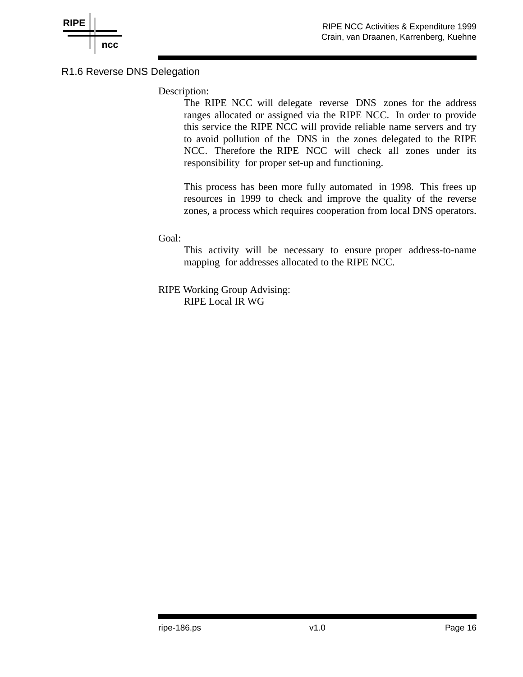

### R1.6 Reverse DNS Delegation

Description:

The RIPE NCC will delegate reverse DNS zones for the address ranges allocated or assigned via the RIPE NCC. In order to provide this service the RIPE NCC will provide reliable name servers and try to avoid pollution of the DNS in the zones delegated to the RIPE NCC. Therefore the RIPE NCC will check all zones under its responsibility for proper set-up and functioning.

This process has been more fully automated in 1998. This frees up resources in 1999 to check and improve the quality of the reverse zones, a process which requires cooperation from local DNS operators.

Goal:

This activity will be necessary to ensure proper address-to-name mapping for addresses allocated to the RIPE NCC.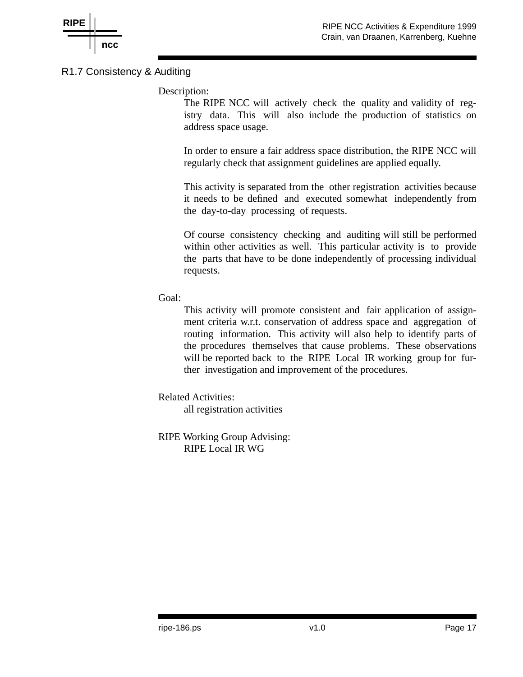

## R1.7 Consistency & Auditing

Description:

The RIPE NCC will actively check the quality and validity of registry data. This will also include the production of statistics on address space usage.

In order to ensure a fair address space distribution, the RIPE NCC will regularly check that assignment guidelines are applied equally.

This activity is separated from the other registration activities because it needs to be defined and executed somewhat independently from the day-to-day processing of requests.

Of course consistency checking and auditing will still be performed within other activities as well. This particular activity is to provide the parts that have to be done independently of processing individual requests.

Goal:

This activity will promote consistent and fair application of assignment criteria w.r.t. conservation of address space and aggregation of routing information. This activity will also help to identify parts of the procedures themselves that cause problems. These observations will be reported back to the RIPE Local IR working group for further investigation and improvement of the procedures.

Related Activities:

all registration activities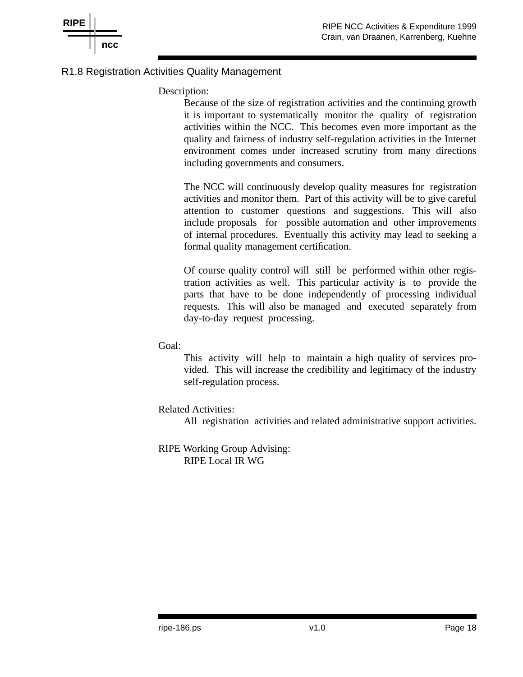



### R1.8 Registration Activities Quality Management

Description:

Because of the size of registration activities and the continuing growth it is important to systematically monitor the quality of registration activities within the NCC. This becomes even more important as the quality and fairness of industry self-regulation activities in the Internet environment comes under increased scrutiny from many directions including governments and consumers.

The NCC will continuously develop quality measures for registration activities and monitor them. Part of this activity will be to give careful attention to customer questions and suggestions. This will also include proposals for possible automation and other improvements of internal procedures. Eventually this activity may lead to seeking a formal quality management certification.

Of course quality control will still be performed within other registration activities as well. This particular activity is to provide the parts that have to be done independently of processing individual requests. This will also be managed and executed separately from day-to-day request processing.

Goal:

This activity will help to maintain a high quality of services provided. This will increase the credibility and legitimacy of the industry self-regulation process.

Related Activities:

All registration activities and related administrative support activities.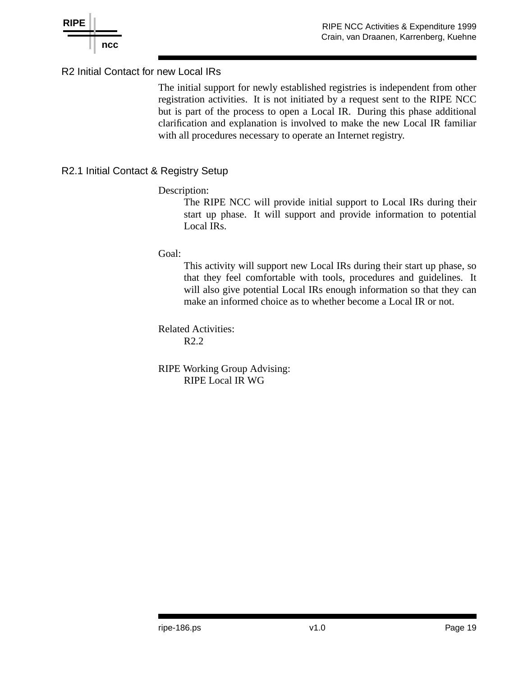

### R2 Initial Contact for new Local IRs

The initial support for newly established registries is independent from other registration activities. It is not initiated by a request sent to the RIPE NCC but is part of the process to open a Local IR. During this phase additional clarification and explanation is involved to make the new Local IR familiar with all procedures necessary to operate an Internet registry.

## R2.1 Initial Contact & Registry Setup

### Description:

The RIPE NCC will provide initial support to Local IRs during their start up phase. It will support and provide information to potential Local IRs.

### Goal:

This activity will support new Local IRs during their start up phase, so that they feel comfortable with tools, procedures and guidelines. It will also give potential Local IRs enough information so that they can make an informed choice as to whether become a Local IR or not.

Related Activities: R2.2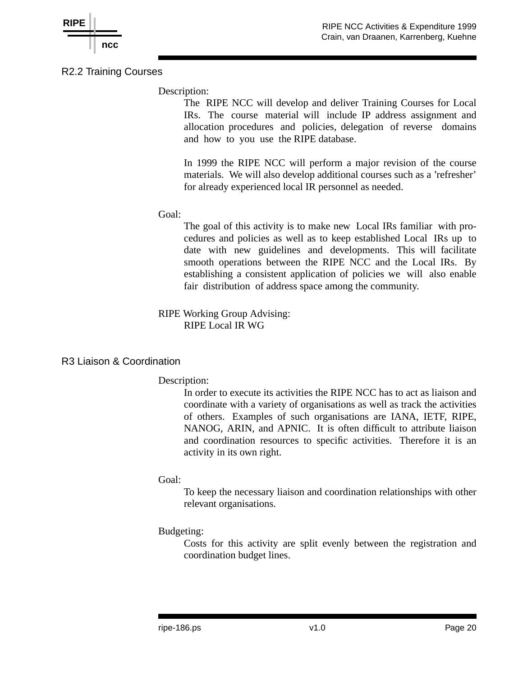

R2.2 Training Courses

Description:

The RIPE NCC will develop and deliver Training Courses for Local IRs. The course material will include IP address assignment and allocation procedures and policies, delegation of reverse domains and how to you use the RIPE database.

In 1999 the RIPE NCC will perform a major revision of the course materials. We will also develop additional courses such as a 'refresher' for already experienced local IR personnel as needed.

### Goal:

The goal of this activity is to make new Local IRs familiar with procedures and policies as well as to keep established Local IRs up to date with new guidelines and developments. This will facilitate smooth operations between the RIPE NCC and the Local IRs. By establishing a consistent application of policies we will also enable fair distribution of address space among the community.

### RIPE Working Group Advising: RIPE Local IR WG

### R3 Liaison & Coordination

### Description:

In order to execute its activities the RIPE NCC has to act as liaison and coordinate with a variety of organisations as well as track the activities of others. Examples of such organisations are IANA, IETF, RIPE, NANOG, ARIN, and APNIC. It is often difficult to attribute liaison and coordination resources to specific activities. Therefore it is an activity in its own right.

### Goal:

To keep the necessary liaison and coordination relationships with other relevant organisations.

## Budgeting:

Costs for this activity are split evenly between the registration and coordination budget lines.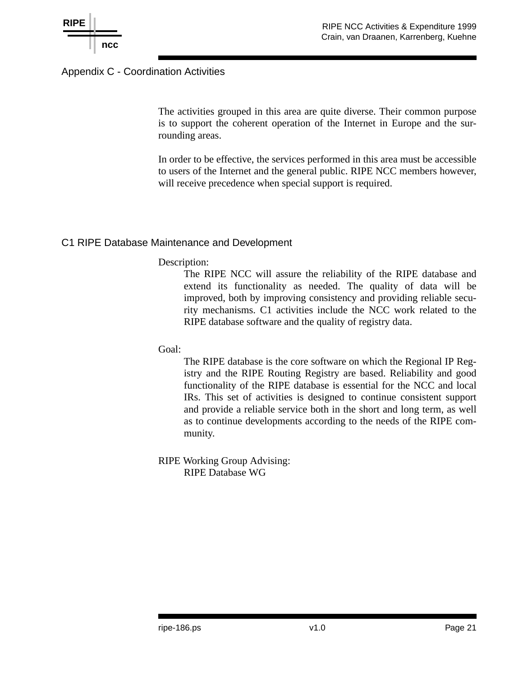

## Appendix C - Coordination Activities

The activities grouped in this area are quite diverse. Their common purpose is to support the coherent operation of the Internet in Europe and the surrounding areas.

In order to be effective, the services performed in this area must be accessible to users of the Internet and the general public. RIPE NCC members however, will receive precedence when special support is required.

### C1 RIPE Database Maintenance and Development

#### Description:

The RIPE NCC will assure the reliability of the RIPE database and extend its functionality as needed. The quality of data will be improved, both by improving consistency and providing reliable security mechanisms. C1 activities include the NCC work related to the RIPE database software and the quality of registry data.

Goal:

The RIPE database is the core software on which the Regional IP Registry and the RIPE Routing Registry are based. Reliability and good functionality of the RIPE database is essential for the NCC and local IRs. This set of activities is designed to continue consistent support and provide a reliable service both in the short and long term, as well as to continue developments according to the needs of the RIPE community.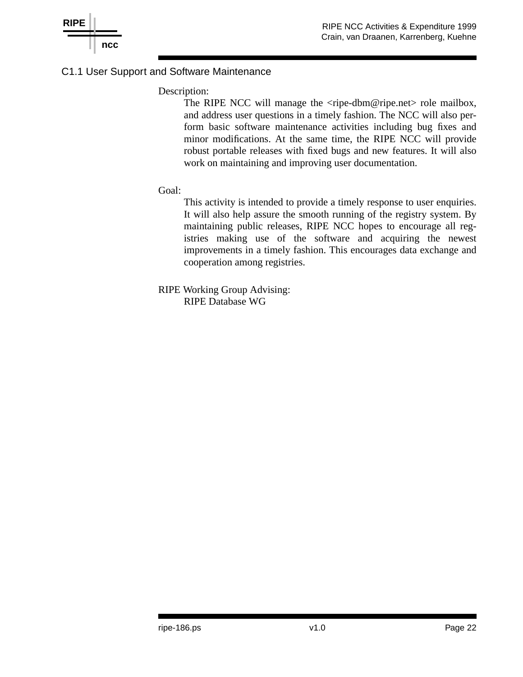

### C1.1 User Support and Software Maintenance

#### Description:

The RIPE NCC will manage the <ripe-dbm@ripe.net> role mailbox, and address user questions in a timely fashion. The NCC will also perform basic software maintenance activities including bug fixes and minor modifications. At the same time, the RIPE NCC will provide robust portable releases with fixed bugs and new features. It will also work on maintaining and improving user documentation.

#### Goal:

This activity is intended to provide a timely response to user enquiries. It will also help assure the smooth running of the registry system. By maintaining public releases, RIPE NCC hopes to encourage all registries making use of the software and acquiring the newest improvements in a timely fashion. This encourages data exchange and cooperation among registries.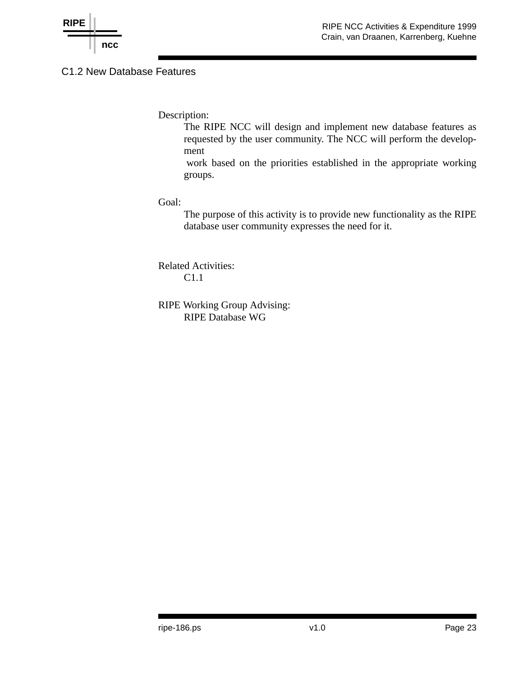

## C1.2 New Database Features

Description:

The RIPE NCC will design and implement new database features as requested by the user community. The NCC will perform the development

work based on the priorities established in the appropriate working groups.

#### Goal:

The purpose of this activity is to provide new functionality as the RIPE database user community expresses the need for it.

Related Activities: C1.1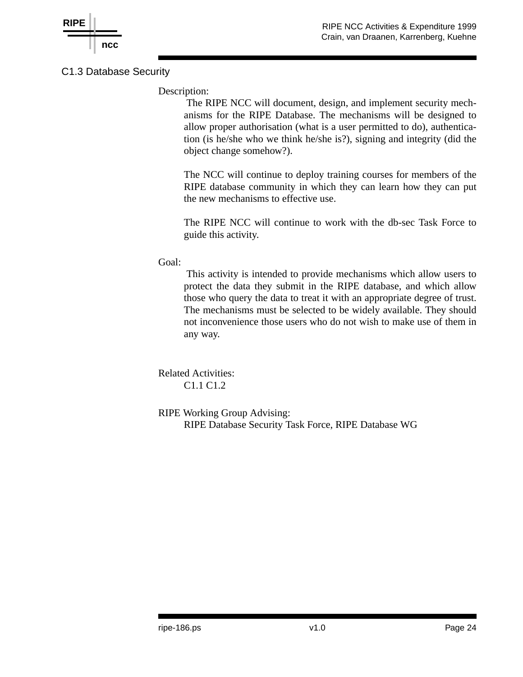

## C1.3 Database Security

Description:

The RIPE NCC will document, design, and implement security mechanisms for the RIPE Database. The mechanisms will be designed to allow proper authorisation (what is a user permitted to do), authentication (is he/she who we think he/she is?), signing and integrity (did the object change somehow?).

The NCC will continue to deploy training courses for members of the RIPE database community in which they can learn how they can put the new mechanisms to effective use.

The RIPE NCC will continue to work with the db-sec Task Force to guide this activity.

Goal:

This activity is intended to provide mechanisms which allow users to protect the data they submit in the RIPE database, and which allow those who query the data to treat it with an appropriate degree of trust. The mechanisms must be selected to be widely available. They should not inconvenience those users who do not wish to make use of them in any way.

Related Activities: C1.1 C1.2

RIPE Working Group Advising: RIPE Database Security Task Force, RIPE Database WG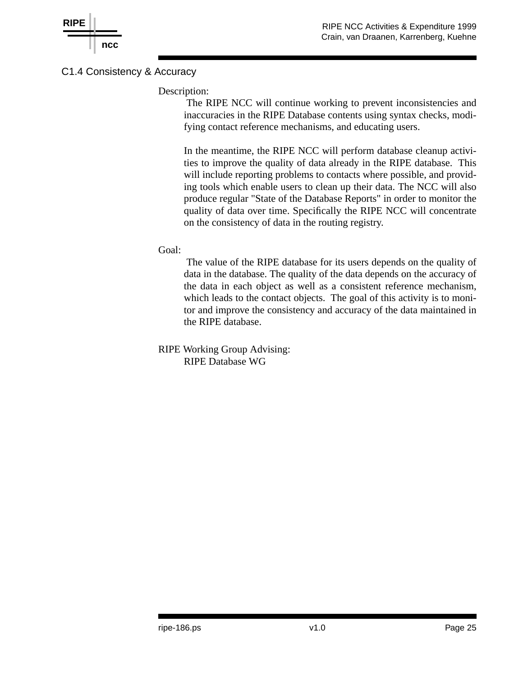

## C1.4 Consistency & Accuracy

#### Description:

The RIPE NCC will continue working to prevent inconsistencies and inaccuracies in the RIPE Database contents using syntax checks, modifying contact reference mechanisms, and educating users.

In the meantime, the RIPE NCC will perform database cleanup activities to improve the quality of data already in the RIPE database. This will include reporting problems to contacts where possible, and providing tools which enable users to clean up their data. The NCC will also produce regular "State of the Database Reports" in order to monitor the quality of data over time. Specifically the RIPE NCC will concentrate on the consistency of data in the routing registry.

#### Goal:

The value of the RIPE database for its users depends on the quality of data in the database. The quality of the data depends on the accuracy of the data in each object as well as a consistent reference mechanism, which leads to the contact objects. The goal of this activity is to monitor and improve the consistency and accuracy of the data maintained in the RIPE database.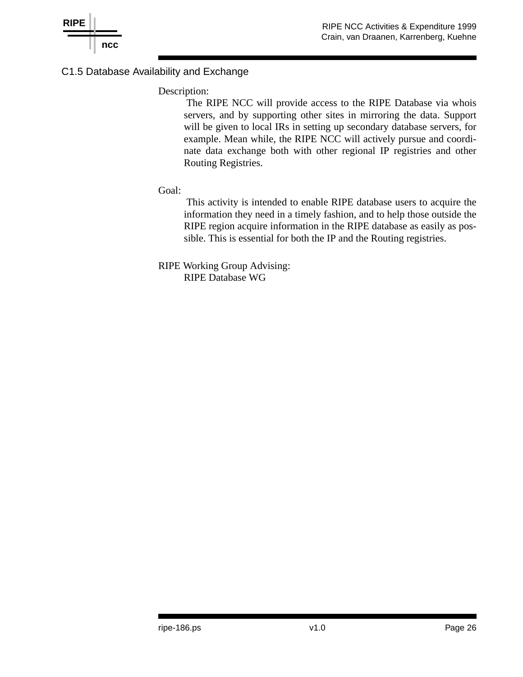

## C1.5 Database Availability and Exchange

#### Description:

The RIPE NCC will provide access to the RIPE Database via whois servers, and by supporting other sites in mirroring the data. Support will be given to local IRs in setting up secondary database servers, for example. Mean while, the RIPE NCC will actively pursue and coordinate data exchange both with other regional IP registries and other Routing Registries.

#### Goal:

This activity is intended to enable RIPE database users to acquire the information they need in a timely fashion, and to help those outside the RIPE region acquire information in the RIPE database as easily as possible. This is essential for both the IP and the Routing registries.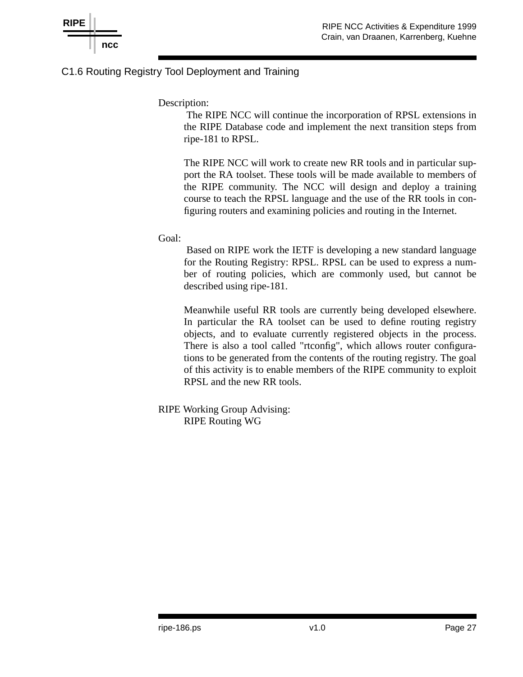

### C1.6 Routing Registry Tool Deployment and Training

Description:

The RIPE NCC will continue the incorporation of RPSL extensions in the RIPE Database code and implement the next transition steps from ripe-181 to RPSL.

The RIPE NCC will work to create new RR tools and in particular support the RA toolset. These tools will be made available to members of the RIPE community. The NCC will design and deploy a training course to teach the RPSL language and the use of the RR tools in configuring routers and examining policies and routing in the Internet.

Goal:

Based on RIPE work the IETF is developing a new standard language for the Routing Registry: RPSL. RPSL can be used to express a number of routing policies, which are commonly used, but cannot be described using ripe-181.

Meanwhile useful RR tools are currently being developed elsewhere. In particular the RA toolset can be used to define routing registry objects, and to evaluate currently registered objects in the process. There is also a tool called "rtconfig", which allows router configurations to be generated from the contents of the routing registry. The goal of this activity is to enable members of the RIPE community to exploit RPSL and the new RR tools.

RIPE Working Group Advising: RIPE Routing WG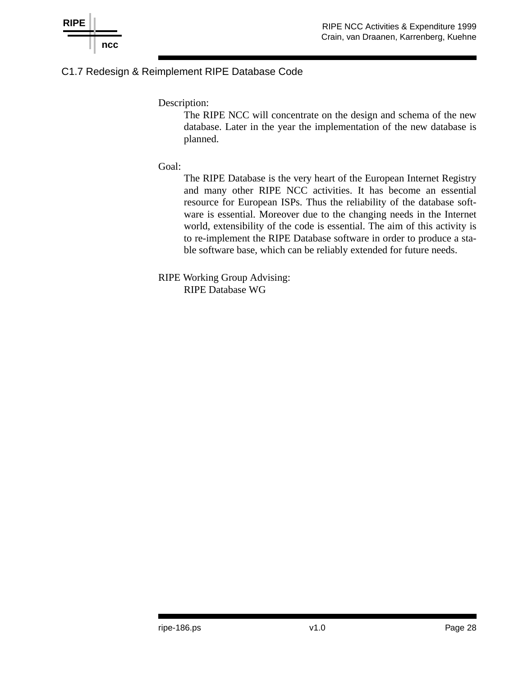

## C1.7 Redesign & Reimplement RIPE Database Code

Description:

The RIPE NCC will concentrate on the design and schema of the new database. Later in the year the implementation of the new database is planned.

Goal:

The RIPE Database is the very heart of the European Internet Registry and many other RIPE NCC activities. It has become an essential resource for European ISPs. Thus the reliability of the database software is essential. Moreover due to the changing needs in the Internet world, extensibility of the code is essential. The aim of this activity is to re-implement the RIPE Database software in order to produce a stable software base, which can be reliably extended for future needs.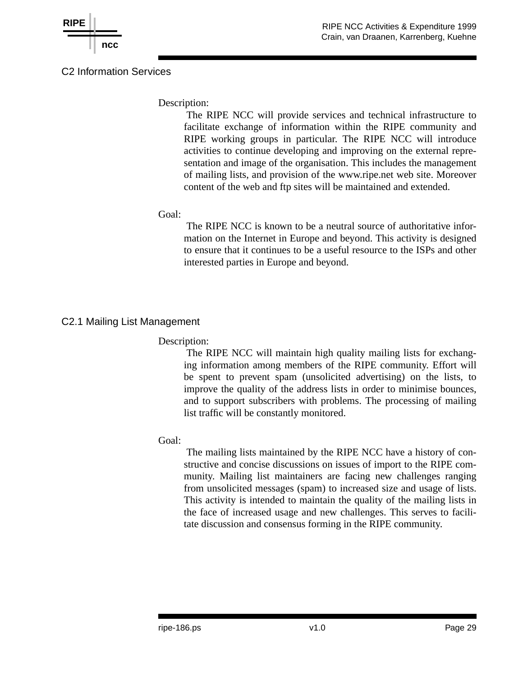

### C<sub>2</sub> Information Services

Description:

The RIPE NCC will provide services and technical infrastructure to facilitate exchange of information within the RIPE community and RIPE working groups in particular. The RIPE NCC will introduce activities to continue developing and improving on the external representation and image of the organisation. This includes the management of mailing lists, and provision of the www.ripe.net web site. Moreover content of the web and ftp sites will be maintained and extended.

### Goal:

The RIPE NCC is known to be a neutral source of authoritative information on the Internet in Europe and beyond. This activity is designed to ensure that it continues to be a useful resource to the ISPs and other interested parties in Europe and beyond.

## C2.1 Mailing List Management

## Description:

The RIPE NCC will maintain high quality mailing lists for exchanging information among members of the RIPE community. Effort will be spent to prevent spam (unsolicited advertising) on the lists, to improve the quality of the address lists in order to minimise bounces, and to support subscribers with problems. The processing of mailing list traffic will be constantly monitored.

### Goal:

The mailing lists maintained by the RIPE NCC have a history of constructive and concise discussions on issues of import to the RIPE community. Mailing list maintainers are facing new challenges ranging from unsolicited messages (spam) to increased size and usage of lists. This activity is intended to maintain the quality of the mailing lists in the face of increased usage and new challenges. This serves to facilitate discussion and consensus forming in the RIPE community.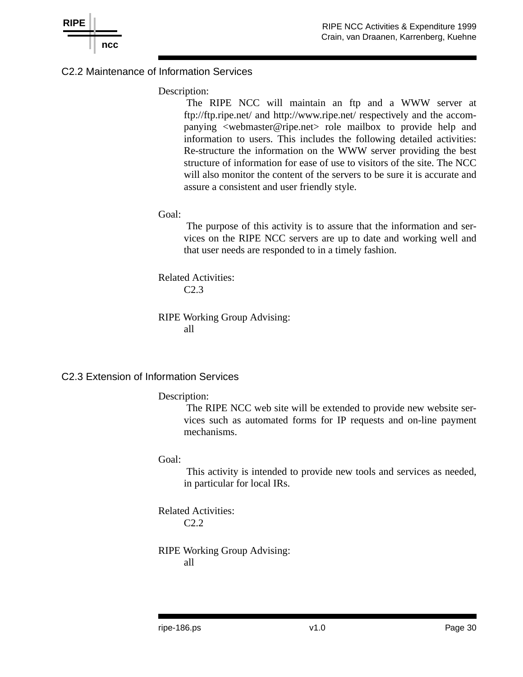

### C2.2 Maintenance of Information Services

#### Description:

The RIPE NCC will maintain an ftp and a WWW server at ftp://ftp.ripe.net/ and http://www.ripe.net/ respectively and the accompanying <webmaster@ripe.net> role mailbox to provide help and information to users. This includes the following detailed activities: Re-structure the information on the WWW server providing the best structure of information for ease of use to visitors of the site. The NCC will also monitor the content of the servers to be sure it is accurate and assure a consistent and user friendly style.

#### Goal:

The purpose of this activity is to assure that the information and services on the RIPE NCC servers are up to date and working well and that user needs are responded to in a timely fashion.

Related Activities: C2.3

RIPE Working Group Advising: all

#### C2.3 Extension of Information Services

#### Description:

The RIPE NCC web site will be extended to provide new website services such as automated forms for IP requests and on-line payment mechanisms.

#### Goal:

This activity is intended to provide new tools and services as needed, in particular for local IRs.

Related Activities: C2.2

RIPE Working Group Advising: all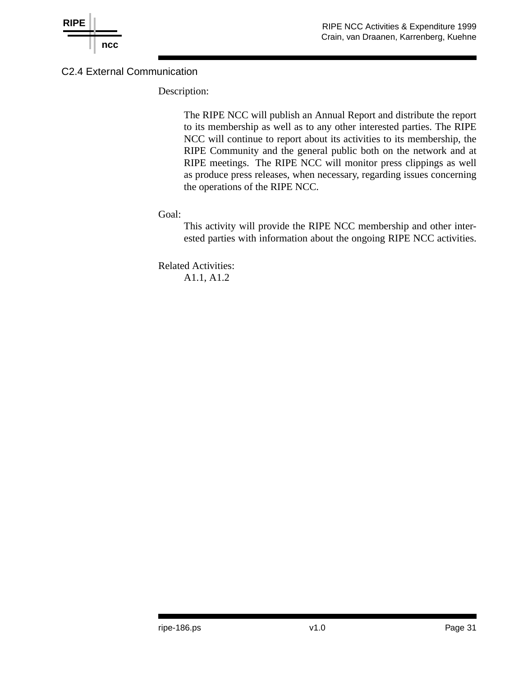

## C2.4 External Communication

Description:

The RIPE NCC will publish an Annual Report and distribute the report to its membership as well as to any other interested parties. The RIPE NCC will continue to report about its activities to its membership, the RIPE Community and the general public both on the network and at RIPE meetings. The RIPE NCC will monitor press clippings as well as produce press releases, when necessary, regarding issues concerning the operations of the RIPE NCC.

Goal:

This activity will provide the RIPE NCC membership and other interested parties with information about the ongoing RIPE NCC activities.

Related Activities: A1.1, A1.2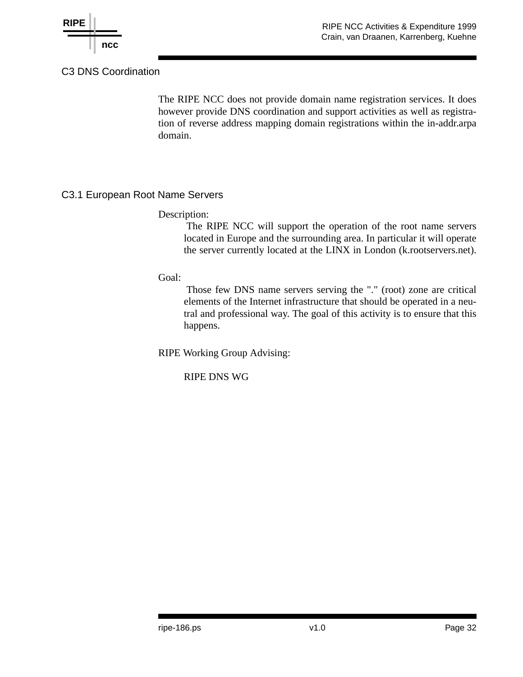

## C3 DNS Coordination

The RIPE NCC does not provide domain name registration services. It does however provide DNS coordination and support activities as well as registration of reverse address mapping domain registrations within the in-addr.arpa domain.

### C3.1 European Root Name Servers

#### Description:

The RIPE NCC will support the operation of the root name servers located in Europe and the surrounding area. In particular it will operate the server currently located at the LINX in London (k.rootservers.net).

Goal:

Those few DNS name servers serving the "." (root) zone are critical elements of the Internet infrastructure that should be operated in a neutral and professional way. The goal of this activity is to ensure that this happens.

RIPE Working Group Advising:

RIPE DNS WG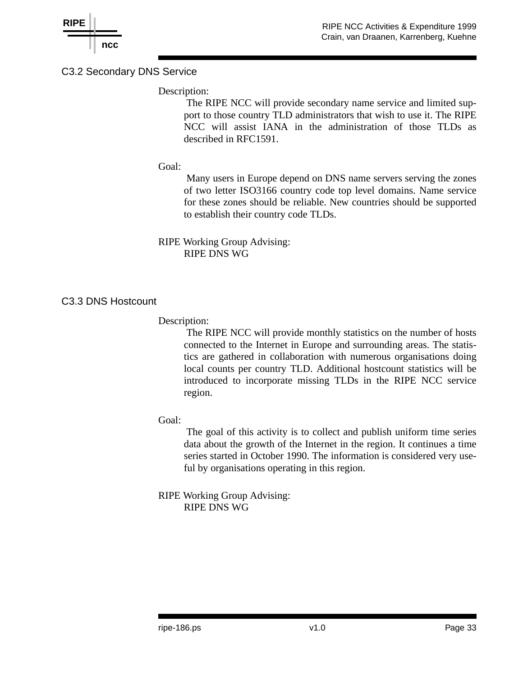

### C3.2 Secondary DNS Service

### Description:

The RIPE NCC will provide secondary name service and limited support to those country TLD administrators that wish to use it. The RIPE NCC will assist IANA in the administration of those TLDs as described in RFC1591.

### Goal:

Many users in Europe depend on DNS name servers serving the zones of two letter ISO3166 country code top level domains. Name service for these zones should be reliable. New countries should be supported to establish their country code TLDs.

RIPE Working Group Advising: RIPE DNS WG

### C3.3 DNS Hostcount

#### Description:

The RIPE NCC will provide monthly statistics on the number of hosts connected to the Internet in Europe and surrounding areas. The statistics are gathered in collaboration with numerous organisations doing local counts per country TLD. Additional hostcount statistics will be introduced to incorporate missing TLDs in the RIPE NCC service region.

#### Goal:

The goal of this activity is to collect and publish uniform time series data about the growth of the Internet in the region. It continues a time series started in October 1990. The information is considered very useful by organisations operating in this region.

RIPE Working Group Advising: RIPE DNS WG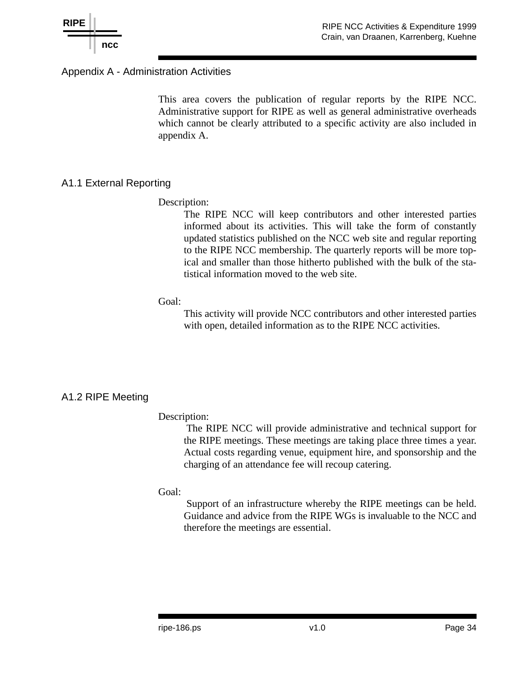

### Appendix A - Administration Activities

This area covers the publication of regular reports by the RIPE NCC. Administrative support for RIPE as well as general administrative overheads which cannot be clearly attributed to a specific activity are also included in appendix A.

### A1.1 External Reporting

#### Description:

The RIPE NCC will keep contributors and other interested parties informed about its activities. This will take the form of constantly updated statistics published on the NCC web site and regular reporting to the RIPE NCC membership. The quarterly reports will be more topical and smaller than those hitherto published with the bulk of the statistical information moved to the web site.

#### Goal:

This activity will provide NCC contributors and other interested parties with open, detailed information as to the RIPE NCC activities.

#### A1.2 RIPE Meeting

#### Description:

The RIPE NCC will provide administrative and technical support for the RIPE meetings. These meetings are taking place three times a year. Actual costs regarding venue, equipment hire, and sponsorship and the charging of an attendance fee will recoup catering.

#### Goal:

Support of an infrastructure whereby the RIPE meetings can be held. Guidance and advice from the RIPE WGs is invaluable to the NCC and therefore the meetings are essential.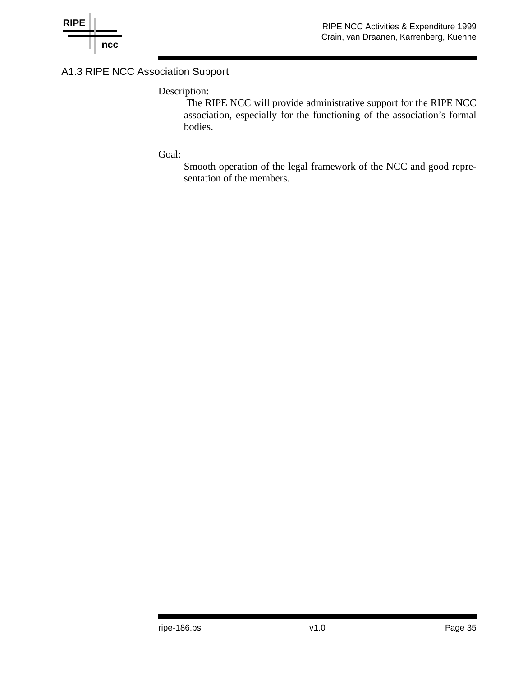

## A1.3 RIPE NCC Association Support

## Description:

The RIPE NCC will provide administrative support for the RIPE NCC association, especially for the functioning of the association's formal bodies.

#### Goal:

Smooth operation of the legal framework of the NCC and good representation of the members.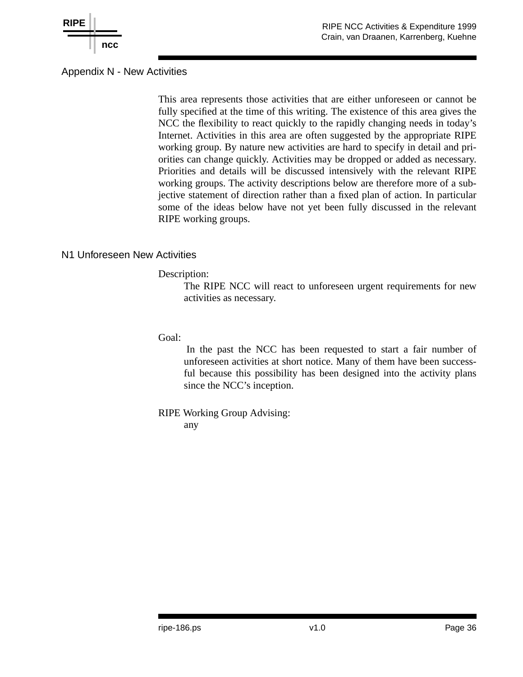

## Appendix N - New Activities

This area represents those activities that are either unforeseen or cannot be fully specified at the time of this writing. The existence of this area gives the NCC the flexibility to react quickly to the rapidly changing needs in today's Internet. Activities in this area are often suggested by the appropriate RIPE working group. By nature new activities are hard to specify in detail and priorities can change quickly. Activities may be dropped or added as necessary. Priorities and details will be discussed intensively with the relevant RIPE working groups. The activity descriptions below are therefore more of a subjective statement of direction rather than a fixed plan of action. In particular some of the ideas below have not yet been fully discussed in the relevant RIPE working groups.

### N1 Unforeseen New Activities

#### Description:

The RIPE NCC will react to unforeseen urgent requirements for new activities as necessary.

Goal:

In the past the NCC has been requested to start a fair number of unforeseen activities at short notice. Many of them have been successful because this possibility has been designed into the activity plans since the NCC's inception.

RIPE Working Group Advising: any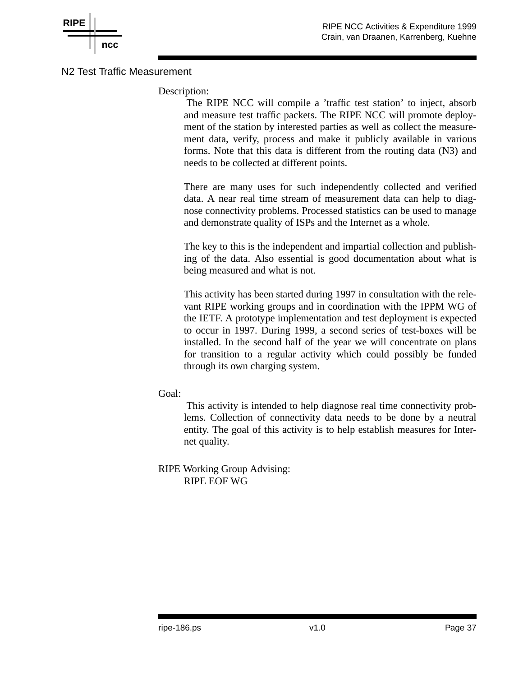



### N2 Test Traffic Measurement

Description:

The RIPE NCC will compile a 'traffic test station' to inject, absorb and measure test traffic packets. The RIPE NCC will promote deployment of the station by interested parties as well as collect the measurement data, verify, process and make it publicly available in various forms. Note that this data is different from the routing data (N3) and needs to be collected at different points.

There are many uses for such independently collected and verified data. A near real time stream of measurement data can help to diagnose connectivity problems. Processed statistics can be used to manage and demonstrate quality of ISPs and the Internet as a whole.

The key to this is the independent and impartial collection and publishing of the data. Also essential is good documentation about what is being measured and what is not.

This activity has been started during 1997 in consultation with the relevant RIPE working groups and in coordination with the IPPM WG of the IETF. A prototype implementation and test deployment is expected to occur in 1997. During 1999, a second series of test-boxes will be installed. In the second half of the year we will concentrate on plans for transition to a regular activity which could possibly be funded through its own charging system.

Goal:

This activity is intended to help diagnose real time connectivity problems. Collection of connectivity data needs to be done by a neutral entity. The goal of this activity is to help establish measures for Internet quality.

RIPE Working Group Advising: RIPE EOF WG